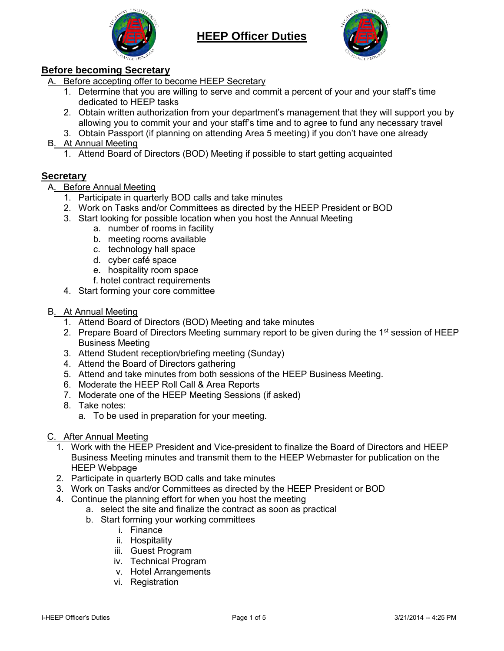



## **Before becoming Secretary**

A. Before accepting offer to become HEEP Secretary

- 1. Determine that you are willing to serve and commit a percent of your and your staff's time dedicated to HEEP tasks
- 2. Obtain written authorization from your department's management that they will support you by allowing you to commit your and your staff's time and to agree to fund any necessary travel
- 3. Obtain Passport (if planning on attending Area 5 meeting) if you don't have one already
- B. At Annual Meeting
	- 1. Attend Board of Directors (BOD) Meeting if possible to start getting acquainted

## **Secretary**

- A. Before Annual Meeting
	- 1. Participate in quarterly BOD calls and take minutes
	- 2. Work on Tasks and/or Committees as directed by the HEEP President or BOD
	- 3. Start looking for possible location when you host the Annual Meeting
		- a. number of rooms in facility
		- b. meeting rooms available
		- c. technology hall space
		- d. cyber café space
		- e. hospitality room space
		- f. hotel contract requirements
	- 4. Start forming your core committee
- B. At Annual Meeting
	- 1. Attend Board of Directors (BOD) Meeting and take minutes
	- 2. Prepare Board of Directors Meeting summary report to be given during the 1<sup>st</sup> session of HEEP Business Meeting
	- 3. Attend Student reception/briefing meeting (Sunday)
	- 4. Attend the Board of Directors gathering
	- 5. Attend and take minutes from both sessions of the HEEP Business Meeting.
	- 6. Moderate the HEEP Roll Call & Area Reports
	- 7. Moderate one of the HEEP Meeting Sessions (if asked)
	- 8. Take notes:
		- a. To be used in preparation for your meeting.

## C. After Annual Meeting

- 1. Work with the HEEP President and Vice-president to finalize the Board of Directors and HEEP Business Meeting minutes and transmit them to the HEEP Webmaster for publication on the HEEP Webpage
- 2. Participate in quarterly BOD calls and take minutes
- 3. Work on Tasks and/or Committees as directed by the HEEP President or BOD
- 4. Continue the planning effort for when you host the meeting
	- a. select the site and finalize the contract as soon as practical
	- b. Start forming your working committees
		- i. Finance
		- ii. Hospitality
		- iii. Guest Program
		- iv. Technical Program
		- v. Hotel Arrangements
		- vi. Registration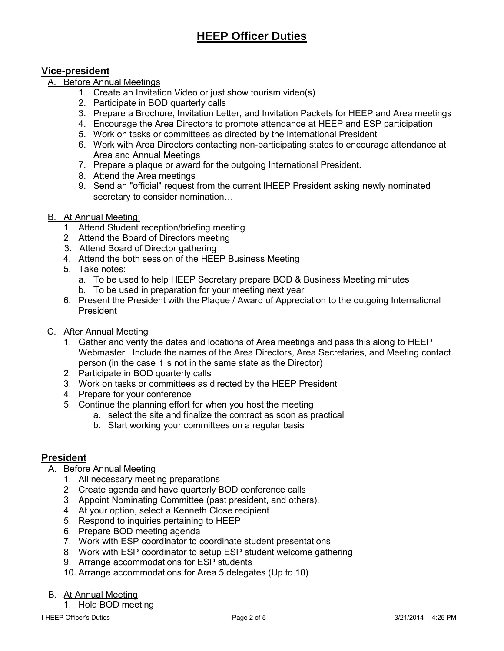### **Vice-president**

## A. Before Annual Meetings

- 1. Create an Invitation Video or just show tourism video(s)
- 2. Participate in BOD quarterly calls
- 3. Prepare a Brochure, Invitation Letter, and Invitation Packets for HEEP and Area meetings
- 4. Encourage the Area Directors to promote attendance at HEEP and ESP participation
- 5. Work on tasks or committees as directed by the International President
- 6. Work with Area Directors contacting non-participating states to encourage attendance at Area and Annual Meetings
- 7. Prepare a plaque or award for the outgoing International President.
- 8. Attend the Area meetings
- 9. Send an "official" request from the current IHEEP President asking newly nominated secretary to consider nomination…

### B. At Annual Meeting:

- 1. Attend Student reception/briefing meeting
- 2. Attend the Board of Directors meeting
- 3. Attend Board of Director gathering
- 4. Attend the both session of the HEEP Business Meeting
- 5. Take notes:
	- a. To be used to help HEEP Secretary prepare BOD & Business Meeting minutes
	- b. To be used in preparation for your meeting next year
- 6. Present the President with the Plaque / Award of Appreciation to the outgoing International President
- C. After Annual Meeting
	- 1. Gather and verify the dates and locations of Area meetings and pass this along to HEEP Webmaster. Include the names of the Area Directors, Area Secretaries, and Meeting contact person (in the case it is not in the same state as the Director)
	- 2. Participate in BOD quarterly calls
	- 3. Work on tasks or committees as directed by the HEEP President
	- 4. Prepare for your conference
	- 5. Continue the planning effort for when you host the meeting
		- a. select the site and finalize the contract as soon as practical
		- b. Start working your committees on a regular basis

### **President**

- A. Before Annual Meeting
	- 1. All necessary meeting preparations
	- 2. Create agenda and have quarterly BOD conference calls
	- 3. Appoint Nominating Committee (past president, and others),
	- 4. At your option, select a Kenneth Close recipient
	- 5. Respond to inquiries pertaining to HEEP
	- 6. Prepare BOD meeting agenda
	- 7. Work with ESP coordinator to coordinate student presentations
	- 8. Work with ESP coordinator to setup ESP student welcome gathering
	- 9. Arrange accommodations for ESP students
	- 10. Arrange accommodations for Area 5 delegates (Up to 10)

#### B. At Annual Meeting

1. Hold BOD meeting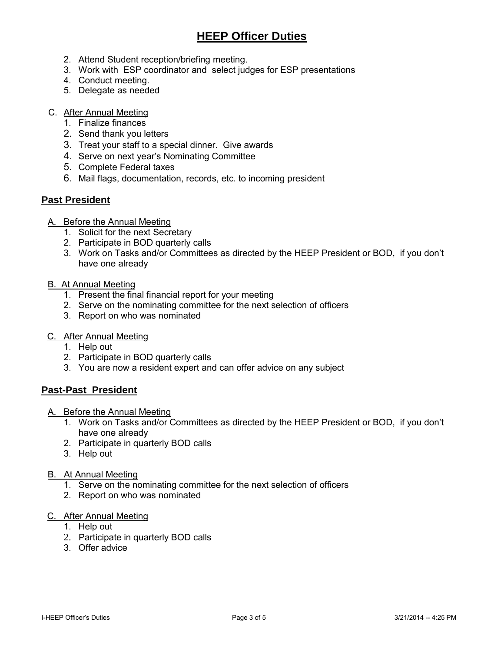- 2. Attend Student reception/briefing meeting.
- 3. Work with ESP coordinator and select judges for ESP presentations
- 4. Conduct meeting.
- 5. Delegate as needed

## C. After Annual Meeting

- 1. Finalize finances
- 2. Send thank you letters
- 3. Treat your staff to a special dinner. Give awards
- 4. Serve on next year's Nominating Committee
- 5. Complete Federal taxes
- 6. Mail flags, documentation, records, etc. to incoming president

## **Past President**

- A. Before the Annual Meeting
	- 1. Solicit for the next Secretary
	- 2. Participate in BOD quarterly calls
	- 3. Work on Tasks and/or Committees as directed by the HEEP President or BOD, if you don't have one already

#### B. At Annual Meeting

- 1. Present the final financial report for your meeting
- 2. Serve on the nominating committee for the next selection of officers
- 3. Report on who was nominated

#### C. After Annual Meeting

- 1. Help out
- 2. Participate in BOD quarterly calls
- 3. You are now a resident expert and can offer advice on any subject

## **Past-Past President**

- A. Before the Annual Meeting
	- 1. Work on Tasks and/or Committees as directed by the HEEP President or BOD, if you don't have one already
	- 2. Participate in quarterly BOD calls
	- 3. Help out
- B. At Annual Meeting
	- 1. Serve on the nominating committee for the next selection of officers
	- 2. Report on who was nominated

#### C. After Annual Meeting

- 1. Help out
- 2. Participate in quarterly BOD calls
- 3. Offer advice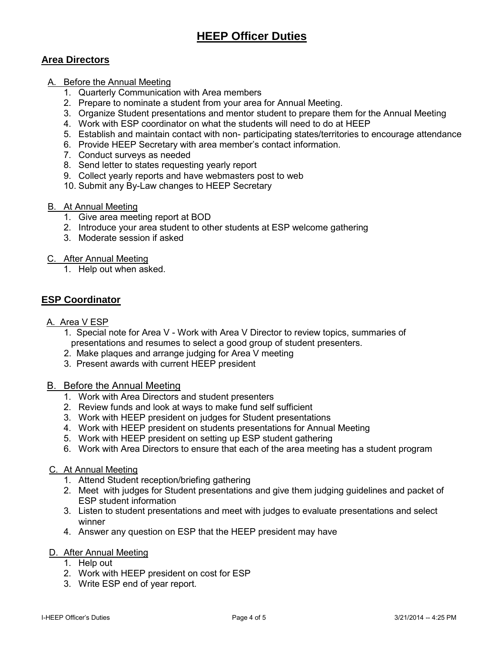## **Area Directors**

- A. Before the Annual Meeting
	- 1. Quarterly Communication with Area members
	- 2. Prepare to nominate a student from your area for Annual Meeting.
	- 3. Organize Student presentations and mentor student to prepare them for the Annual Meeting
	- 4. Work with ESP coordinator on what the students will need to do at HEEP
	- 5. Establish and maintain contact with non- participating states/territories to encourage attendance
	- 6. Provide HEEP Secretary with area member's contact information.
	- 7. Conduct surveys as needed
	- 8. Send letter to states requesting yearly report
	- 9. Collect yearly reports and have webmasters post to web
	- 10. Submit any By-Law changes to HEEP Secretary

#### B. At Annual Meeting

- 1. Give area meeting report at BOD
- 2. Introduce your area student to other students at ESP welcome gathering
- 3. Moderate session if asked

#### C. After Annual Meeting

1. Help out when asked.

## **ESP Coordinator**

- A. Area V ESP
	- 1. Special note for Area V Work with Area V Director to review topics, summaries of presentations and resumes to select a good group of student presenters.
	- 2. Make plaques and arrange judging for Area V meeting
	- 3. Present awards with current HEEP president

#### B. Before the Annual Meeting

- 1. Work with Area Directors and student presenters
- 2. Review funds and look at ways to make fund self sufficient
- 3. Work with HEEP president on judges for Student presentations
- 4. Work with HEEP president on students presentations for Annual Meeting
- 5. Work with HEEP president on setting up ESP student gathering
- 6. Work with Area Directors to ensure that each of the area meeting has a student program

#### C. At Annual Meeting

- 1. Attend Student reception/briefing gathering
- 2. Meet with judges for Student presentations and give them judging guidelines and packet of ESP student information
- 3. Listen to student presentations and meet with judges to evaluate presentations and select winner
- 4. Answer any question on ESP that the HEEP president may have

#### D. After Annual Meeting

- 1. Help out
- 2. Work with HEEP president on cost for ESP
- 3. Write ESP end of year report.